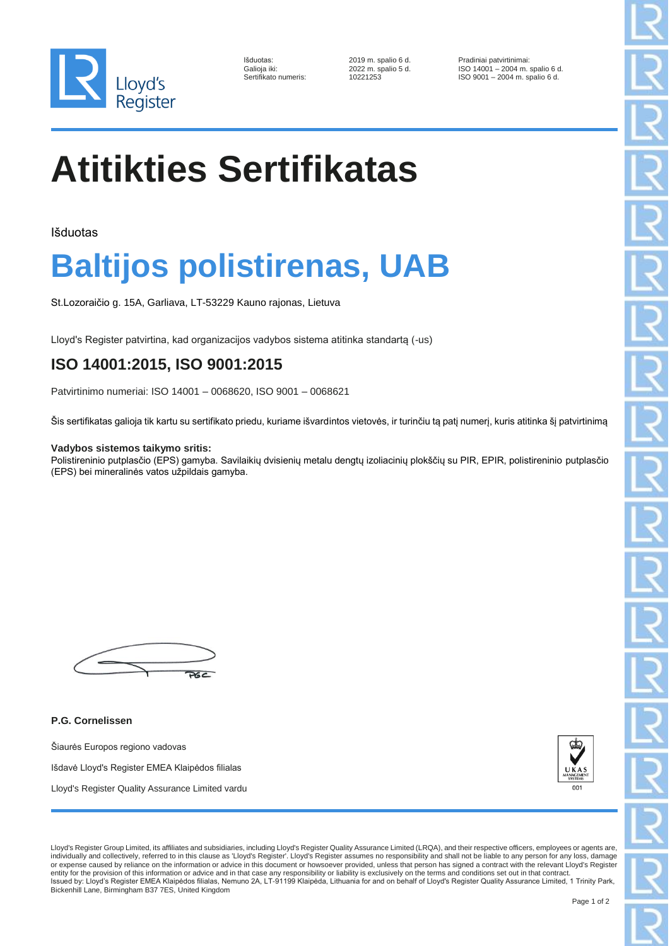

| Išduotas:            |
|----------------------|
| Galioja iki:         |
| Sertifikato numeris: |
|                      |

2019 m. spalio 6 d. **Pradiniai patvirtinimai:** 2022 m. spalio 5 d. **ISO 14001** - 2004 m.  $2022$  m. spalio 5 d. ISO 14001 – 2004 m. spalio 6 d.<br>10221253 ISO 9001 – 2004 m. spalio 6 d. ISO 9001 – 2004 m. spalio 6 d.

# **Atitikties Sertifikatas**

Išduotas

## **Baltijos polistirenas, UAB**

St.Lozoraičio g. 15A, Garliava, LT-53229 Kauno rajonas, Lietuva

Lloyd's Register patvirtina, kad organizacijos vadybos sistema atitinka standartą (-us)

### **ISO 14001:2015, ISO 9001:2015**

Patvirtinimo numeriai: ISO 14001 – 0068620, ISO 9001 – 0068621

Šis sertifikatas galioja tik kartu su sertifikato priedu, kuriame išvardintos vietovės, ir turinčiu tą patį numerį, kuris atitinka šį patvirtinimą

#### **Vadybos sistemos taikymo sritis:**

Polistireninio putplasčio (EPS) gamyba. Savilaikių dvisienių metalu dengtų izoliacinių plokščių su PIR, EPIR, polistireninio putplasčio (EPS) bei mineralinės vatos užpildais gamyba.

 $\overline{\mathcal{M}}$ 

**P.G. Cornelissen**

Šiaurės Europos regiono vadovas Išdavė Lloyd's Register EMEA Klaipėdos filialas Lloyd's Register Quality Assurance Limited vardu



Lloyd's Register Group Limited, its affiliates and subsidiaries, including Lloyd's Register Quality Assurance Limited (LRQA), and their respective officers, employees or agents are, individually and collectively, referred to in this clause as 'Lloyd's Register'. Lloyd's Register assumes no responsibility and shall not be liable to any person for any loss, damage or expense caused by reliance on the information or advice in this document or howsoever provided, unless that person has signed a contract with the relevant Lloyd's Register<br>entity for the provision of this information or Issued by: Lloyd's Register EMEA Klaipėdos filialas, Nemuno 2A, LT-91199 Klaipėda, Lithuania for and on behalf of Lloyd's Register Quality Assurance Limited, 1 Trinity Park, Bickenhill Lane, Birmingham B37 7ES, United Kingdom